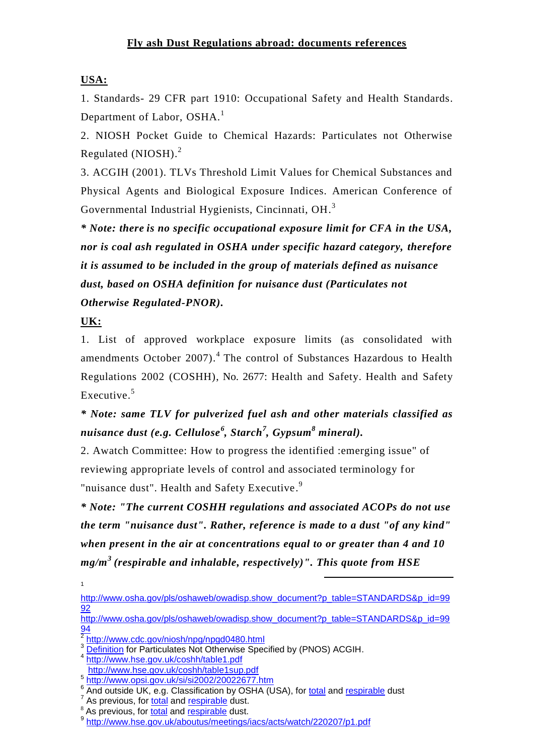### **USA:**

1. Standards- 29 CFR part 1910: Occupational Safety and Health Standards. Department of Labor, OSHA.<sup>1</sup>

2. NIOSH Pocket Guide to Chemical Hazards: Particulates not Otherwise Regulated (NIOSH). 2

3. ACGIH (2001). TLVs Threshold Limit Values for Chemical Substances and Physical Agents and Biological Exposure Indices. American Conference of Governmental Industrial Hygienists, Cincinnati, OH.<sup>3</sup>

*\* Note: there is no specific occupational exposure limit for CFA in the USA, nor is coal ash regulated in OSHA under specific hazard category, therefore it is assumed to be included in the group of materials defined as nuisance dust, based on OSHA definition for nuisance dust (Particulates not Otherwise Regulated-PNOR).* 

**UK:**

1

1. List of approved workplace exposure limits (as consolidated with amendments October 2007).<sup>4</sup> The control of Substances Hazardous to Health Regulations 2002 (COSHH), No. 2677: Health and Safety. Health and Safety Executive. 5

# *\* Note: same TLV for pulverized fuel ash and other materials classified as nuisance dust (e.g. Cellulose<sup>6</sup> , Starch<sup>7</sup> , Gypsum<sup>8</sup> mineral).*

2. Awatch Committee: How to progress the identified :emerging issue" of reviewing appropriate levels of control and associated terminology for "nuisance dust". Health and Safety Executive.<sup>9</sup>

*\* Note: "The current COSHH regulations and associated ACOPs do not use the term "nuisance dust". Rather, reference is made to a dust "of any kind" when present in the air at concentrations equal to or greater than 4 and 10 mg/m<sup>3</sup> (respirable and inhalable, respectively)". This quote from HSE* 

[http://www.osha.gov/pls/oshaweb/owadisp.show\\_document?p\\_table=STANDARDS&p\\_id=99](http://www.osha.gov/pls/oshaweb/owadisp.show_document?p_table=STANDARDS&p_id=9992) [92](http://www.osha.gov/pls/oshaweb/owadisp.show_document?p_table=STANDARDS&p_id=9992)

-

[http://www.osha.gov/pls/oshaweb/owadisp.show\\_document?p\\_table=STANDARDS&p\\_id=99](http://www.osha.gov/pls/oshaweb/owadisp.show_document?p_table=STANDARDS&p_id=9994) <mark>[94](http://www.osha.gov/pls/oshaweb/owadisp.show_document?p_table=STANDARDS&p_id=9994)</mark><br><sup>[2](http://www.cdc.gov/niosh/npg/npgd0480.html)</sup> <http://www.cdc.gov/niosh/npg/npgd0480.html>

[4](http://www.hse.gov.uk/coshh/table1.pdf) <http://www.hse.gov.uk/coshh/table1.pdf>

<sup>&</sup>lt;sup>[3](PNOS_definition_ACGIH.pdf)</sup> [Definition](PNOS_definition_ACGIH.pdf) for Particulates Not Otherwise Specified by (PNOS) ACGIH.

<http://www.hse.gov.uk/coshh/table1sup.pdf>

[<sup>5</sup>](http://www.opsi.gov.uk/si/si2002/20022677.htm) <http://www.opsi.gov.uk/si/si2002/20022677.htm> 6 And outside UK, e.g. Classification by OSHA (USA), for [total](http://www.osha.gov/dts/chemicalsampling/data/CH_225997.html) and [respirable](http://www.osha.gov/dts/chemicalsampling/data/CH_225995.html) dust

<sup>&</sup>lt;sup>7</sup> As previous, for **total** and **respirable** dust.

<sup>&</sup>lt;sup>8</sup> As previous, for [total](http://www.osha.gov/dts/chemicalsampling/data/CH_244100.html) and [respirable](http://www.osha.gov/dts/chemicalsampling/data/CH_244095.html) dust.

[<sup>9</sup>](http://www.hse.gov.uk/aboutus/meetings/iacs/acts/watch/220207/p1.pdf) <http://www.hse.gov.uk/aboutus/meetings/iacs/acts/watch/220207/p1.pdf>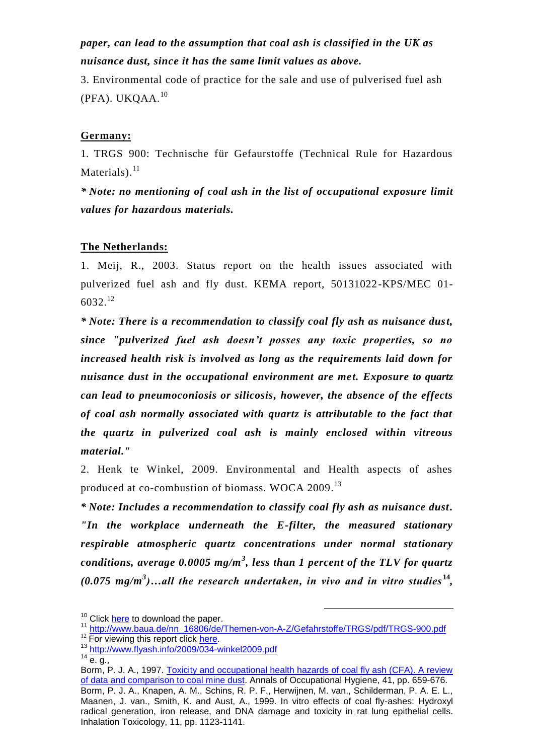## *paper, can lead to the assumption that coal ash is classified in the UK as nuisance dust, since it has the same limit values as above.*

3. Environmental code of practice for the sale and use of pulverised fuel ash  $(PFA)$ . UKQAA. $^{10}$ 

### **Germany:**

1. TRGS 900: Technische für Gefaurstoffe (Technical Rule for Hazardous Materials).<sup>11</sup>

*\* Note: no mentioning of coal ash in the list of occupational exposure limit values for hazardous materials.*

#### **The Netherlands:**

1. Meij, R., 2003. Status report on the health issues associated with pulverized fuel ash and fly dust. KEMA report, 50131022-KPS/MEC 01-  $6032.<sup>12</sup>$ 

*\* Note: There is a recommendation to classify coal fly ash as nuisance dust, since "pulverized fuel ash doesn't posses any toxic properties, so no increased health risk is involved as long as the requirements laid down for nuisance dust in the occupational environment are met. Exposure to quartz can lead to pneumoconiosis or silicosis, however, the absence of the effects of coal ash normally associated with quartz is attributable to the fact that the quartz in pulverized coal ash is mainly enclosed within vitreous material."*

2. Henk te Winkel, 2009. Environmental and Health aspects of ashes produced at co-combustion of biomass. WOCA 2009.<sup>13</sup>

*\* Note: Includes a recommendation to classify coal fly ash as nuisance dust. "In the workplace underneath the E-filter, the measured stationary respirable atmospheric quartz concentrations under normal stationary conditions, average 0.0005 mg/m<sup>3</sup> , less than 1 percent of the TLV for quartz*   $(0.075 \text{ mg/m}^3)$ ...all the research undertaken, in vivo and in vitro studies<sup>14</sup>,

-

<sup>&</sup>lt;sup>10</sup> Click [here](http://www.coal-ash.co.il/sadna09/Code_of_Practice_January_2003.pdf) to download the paper.

<sup>1</sup>[1](http://www.baua.de/nn_16806/de/Themen-von-A-Z/Gefahrstoffe/TRGS/pdf/TRGS-900.pdf) [http://www.baua.de/nn\\_16806/de/Themen-von-A-Z/Gefahrstoffe/TRGS/pdf/TRGS-900.pdf](http://www.baua.de/nn_16806/de/Themen-von-A-Z/Gefahrstoffe/TRGS/pdf/TRGS-900.pdf)

<sup>&</sup>lt;sup>12</sup> For viewing this report click [here.](Specific_sections_in_the_report.pdf)

<sup>1</sup>[3](http://www.flyash.info/2009/034-winkel2009.pdf) <http://www.flyash.info/2009/034-winkel2009.pdf>

 $14 \frac{100 \text{ F} \cdot \text{m}}{6.9}$ 

Borm, P. J. A., 1997. Toxicity and occupational health hazards of coal fly ash (CFA). A review [of data and comparison to coal mine dust.](http://annhyg.oxfordjournals.org/cgi/reprint/41/6/659.pdf) Annals of Occupational Hygiene, 41, pp. 659-676. Borm, P. J. A., Knapen, A. M., Schins, R. P. F., Herwijnen, M. van., Schilderman, P. A. E. L., Maanen, J. van., Smith, K. and Aust, A., 1999. In vitro effects of coal fly-ashes: Hydroxyl radical generation, iron release, and DNA damage and toxicity in rat lung epithelial cells. Inhalation Toxicology, 11, pp. 1123-1141.